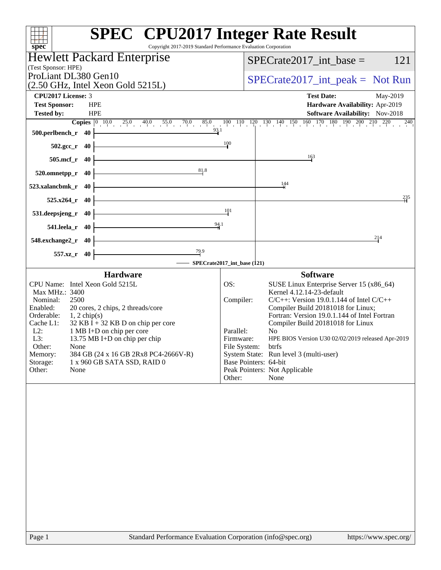| Copyright 2017-2019 Standard Performance Evaluation Corporation<br>spec <sup>®</sup>                                                                                                                                                                                                                                                                                                                                                            | <b>SPEC<sup>®</sup></b> CPU2017 Integer Rate Result                                                                                                                                                                                                                                                                                                                                                                                                                                                                                      |
|-------------------------------------------------------------------------------------------------------------------------------------------------------------------------------------------------------------------------------------------------------------------------------------------------------------------------------------------------------------------------------------------------------------------------------------------------|------------------------------------------------------------------------------------------------------------------------------------------------------------------------------------------------------------------------------------------------------------------------------------------------------------------------------------------------------------------------------------------------------------------------------------------------------------------------------------------------------------------------------------------|
| Hewlett Packard Enterprise                                                                                                                                                                                                                                                                                                                                                                                                                      | 121                                                                                                                                                                                                                                                                                                                                                                                                                                                                                                                                      |
| (Test Sponsor: HPE)                                                                                                                                                                                                                                                                                                                                                                                                                             | $SPECrate2017\_int\_base =$                                                                                                                                                                                                                                                                                                                                                                                                                                                                                                              |
| ProLiant DL380 Gen10                                                                                                                                                                                                                                                                                                                                                                                                                            | $SPECrate2017\_int\_peak = Not Run$                                                                                                                                                                                                                                                                                                                                                                                                                                                                                                      |
| $(2.50 \text{ GHz}, \text{Intel Xeon Gold } 5215L)$                                                                                                                                                                                                                                                                                                                                                                                             |                                                                                                                                                                                                                                                                                                                                                                                                                                                                                                                                          |
| <b>CPU2017 License: 3</b><br><b>HPE</b>                                                                                                                                                                                                                                                                                                                                                                                                         | <b>Test Date:</b><br>May-2019                                                                                                                                                                                                                                                                                                                                                                                                                                                                                                            |
| <b>Test Sponsor:</b><br><b>Tested by:</b><br><b>HPE</b>                                                                                                                                                                                                                                                                                                                                                                                         | Hardware Availability: Apr-2019<br>Software Availability: Nov-2018                                                                                                                                                                                                                                                                                                                                                                                                                                                                       |
| <b>Copies</b> $\begin{bmatrix} 0 & 10.0 & 25.0 & 40.0 & 55.0 & 70.0 & 85.0 \end{bmatrix}$                                                                                                                                                                                                                                                                                                                                                       | $\frac{100}{10} - \frac{110}{10} - \frac{120}{11} - \frac{130}{1} - \frac{140}{1} - \frac{150}{1} - \frac{160}{1} - \frac{170}{1} - \frac{180}{1} - \frac{190}{1} - \frac{200}{1} - \frac{210}{1} - \frac{220}{1}$<br>$^{240}$                                                                                                                                                                                                                                                                                                           |
| 93.1<br>500.perlbench_r<br>- 40                                                                                                                                                                                                                                                                                                                                                                                                                 |                                                                                                                                                                                                                                                                                                                                                                                                                                                                                                                                          |
| 502.gcc_r 40                                                                                                                                                                                                                                                                                                                                                                                                                                    | 100                                                                                                                                                                                                                                                                                                                                                                                                                                                                                                                                      |
| $505$ .mcf_r<br>-40                                                                                                                                                                                                                                                                                                                                                                                                                             | 163                                                                                                                                                                                                                                                                                                                                                                                                                                                                                                                                      |
| 81.8<br>520.omnetpp_r<br>40                                                                                                                                                                                                                                                                                                                                                                                                                     |                                                                                                                                                                                                                                                                                                                                                                                                                                                                                                                                          |
| 523.xalancbmk_r<br>40                                                                                                                                                                                                                                                                                                                                                                                                                           | $\frac{144}{5}$                                                                                                                                                                                                                                                                                                                                                                                                                                                                                                                          |
| $525.x264$ r<br>- 40                                                                                                                                                                                                                                                                                                                                                                                                                            | $^{235}$                                                                                                                                                                                                                                                                                                                                                                                                                                                                                                                                 |
| 531.deepsjeng_r<br>40                                                                                                                                                                                                                                                                                                                                                                                                                           | 101                                                                                                                                                                                                                                                                                                                                                                                                                                                                                                                                      |
| $\frac{94.1}{9}$<br>541.leela_r<br>-40                                                                                                                                                                                                                                                                                                                                                                                                          |                                                                                                                                                                                                                                                                                                                                                                                                                                                                                                                                          |
| 548.exchange2_r<br>-40                                                                                                                                                                                                                                                                                                                                                                                                                          | 214                                                                                                                                                                                                                                                                                                                                                                                                                                                                                                                                      |
| $\frac{79.9}{4}$<br>557.xz_r<br>- 40                                                                                                                                                                                                                                                                                                                                                                                                            |                                                                                                                                                                                                                                                                                                                                                                                                                                                                                                                                          |
|                                                                                                                                                                                                                                                                                                                                                                                                                                                 | SPECrate2017_int_base (121)                                                                                                                                                                                                                                                                                                                                                                                                                                                                                                              |
| <b>Hardware</b><br>CPU Name: Intel Xeon Gold 5215L<br>Max MHz.: 3400<br>Nominal:<br>2500<br>Enabled:<br>20 cores, 2 chips, 2 threads/core<br>Orderable:<br>$1, 2$ chip(s)<br>$32$ KB I + 32 KB D on chip per core<br>Cache L1:<br>$L2$ :<br>1 MB I+D on chip per core<br>L3:<br>13.75 MB I+D on chip per chip<br>Other:<br>None<br>Memory:<br>384 GB (24 x 16 GB 2Rx8 PC4-2666V-R)<br>Storage:<br>1 x 960 GB SATA SSD, RAID 0<br>Other:<br>None | <b>Software</b><br>OS:<br>SUSE Linux Enterprise Server 15 (x86_64)<br>Kernel 4.12.14-23-default<br>$C/C++$ : Version 19.0.1.144 of Intel $C/C++$<br>Compiler:<br>Compiler Build 20181018 for Linux;<br>Fortran: Version 19.0.1.144 of Intel Fortran<br>Compiler Build 20181018 for Linux<br>Parallel:<br>N <sub>0</sub><br>HPE BIOS Version U30 02/02/2019 released Apr-2019<br>Firmware:<br>File System:<br>btrfs<br>System State: Run level 3 (multi-user)<br>Base Pointers: 64-bit<br>Peak Pointers: Not Applicable<br>None<br>Other: |
|                                                                                                                                                                                                                                                                                                                                                                                                                                                 |                                                                                                                                                                                                                                                                                                                                                                                                                                                                                                                                          |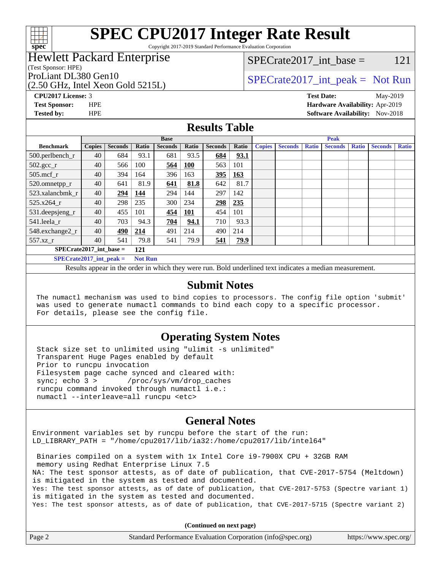

Copyright 2017-2019 Standard Performance Evaluation Corporation

### Hewlett Packard Enterprise

(Test Sponsor: HPE)

(2.50 GHz, Intel Xeon Gold 5215L)

 $SPECTate2017\_int\_base = 121$ 

### ProLiant DL380 Gen10  $SPECrate2017$ \_int\_peak = Not Run

**[CPU2017 License:](http://www.spec.org/auto/cpu2017/Docs/result-fields.html#CPU2017License)** 3 **[Test Date:](http://www.spec.org/auto/cpu2017/Docs/result-fields.html#TestDate)** May-2019 **[Test Sponsor:](http://www.spec.org/auto/cpu2017/Docs/result-fields.html#TestSponsor)** HPE **[Hardware Availability:](http://www.spec.org/auto/cpu2017/Docs/result-fields.html#HardwareAvailability)** Apr-2019 **[Tested by:](http://www.spec.org/auto/cpu2017/Docs/result-fields.html#Testedby)** HPE **HPE [Software Availability:](http://www.spec.org/auto/cpu2017/Docs/result-fields.html#SoftwareAvailability)** Nov-2018

#### **[Results Table](http://www.spec.org/auto/cpu2017/Docs/result-fields.html#ResultsTable)**

|                                             | <b>Base</b>   |                |       |                | <b>Peak</b> |                |             |               |                |              |                |              |                |              |
|---------------------------------------------|---------------|----------------|-------|----------------|-------------|----------------|-------------|---------------|----------------|--------------|----------------|--------------|----------------|--------------|
| <b>Benchmark</b>                            | <b>Copies</b> | <b>Seconds</b> | Ratio | <b>Seconds</b> | Ratio       | <b>Seconds</b> | Ratio       | <b>Copies</b> | <b>Seconds</b> | <b>Ratio</b> | <b>Seconds</b> | <b>Ratio</b> | <b>Seconds</b> | <b>Ratio</b> |
| 500.perlbench_r                             | 40            | 684            | 93.1  | 681            | 93.5        | 684            | 93.1        |               |                |              |                |              |                |              |
| $502.\text{gcc\_r}$                         | 40            | 566            | 100   | 564            | <b>100</b>  | 563            | 101         |               |                |              |                |              |                |              |
| $505$ .mcf r                                | 40            | 394            | 164   | 396            | 163         | 395            | <u>163</u>  |               |                |              |                |              |                |              |
| 520.omnetpp_r                               | 40            | 641            | 81.9  | 641            | 81.8        | 642            | 81.7        |               |                |              |                |              |                |              |
| 523.xalancbmk r                             | 40            | 294            | 144   | 294            | 144         | 297            | 142         |               |                |              |                |              |                |              |
| $525.x264$ r                                | 40            | 298            | 235   | 300            | 234         | 298            | 235         |               |                |              |                |              |                |              |
| $531.$ deepsjeng $_r$                       | 40            | 455            | 101   | 454            | 101         | 454            | 101         |               |                |              |                |              |                |              |
| 541.leela r                                 | 40            | 703            | 94.3  | 704            | 94.1        | 710            | 93.3        |               |                |              |                |              |                |              |
| 548.exchange2_r                             | 40            | 490            | 214   | 491            | 214         | 490            | 214         |               |                |              |                |              |                |              |
| 557.xz r                                    | 40            | 541            | 79.8  | 541            | 79.9        | 541            | <b>79.9</b> |               |                |              |                |              |                |              |
| $SPECrate2017$ int base =<br>121            |               |                |       |                |             |                |             |               |                |              |                |              |                |              |
| $SPECrate2017$ int peak =<br><b>Not Run</b> |               |                |       |                |             |                |             |               |                |              |                |              |                |              |

Results appear in the [order in which they were run.](http://www.spec.org/auto/cpu2017/Docs/result-fields.html#RunOrder) Bold underlined text [indicates a median measurement.](http://www.spec.org/auto/cpu2017/Docs/result-fields.html#Median)

#### **[Submit Notes](http://www.spec.org/auto/cpu2017/Docs/result-fields.html#SubmitNotes)**

 The numactl mechanism was used to bind copies to processors. The config file option 'submit' was used to generate numactl commands to bind each copy to a specific processor. For details, please see the config file.

#### **[Operating System Notes](http://www.spec.org/auto/cpu2017/Docs/result-fields.html#OperatingSystemNotes)**

 Stack size set to unlimited using "ulimit -s unlimited" Transparent Huge Pages enabled by default Prior to runcpu invocation Filesystem page cache synced and cleared with: sync; echo 3 > /proc/sys/vm/drop\_caches runcpu command invoked through numactl i.e.: numactl --interleave=all runcpu <etc>

#### **[General Notes](http://www.spec.org/auto/cpu2017/Docs/result-fields.html#GeneralNotes)**

Environment variables set by runcpu before the start of the run: LD\_LIBRARY\_PATH = "/home/cpu2017/lib/ia32:/home/cpu2017/lib/intel64"

 Binaries compiled on a system with 1x Intel Core i9-7900X CPU + 32GB RAM memory using Redhat Enterprise Linux 7.5 NA: The test sponsor attests, as of date of publication, that CVE-2017-5754 (Meltdown) is mitigated in the system as tested and documented. Yes: The test sponsor attests, as of date of publication, that CVE-2017-5753 (Spectre variant 1) is mitigated in the system as tested and documented. Yes: The test sponsor attests, as of date of publication, that CVE-2017-5715 (Spectre variant 2)

**(Continued on next page)**

| Page 2 | Standard Performance Evaluation Corporation (info@spec.org) | https://www.spec.org/ |
|--------|-------------------------------------------------------------|-----------------------|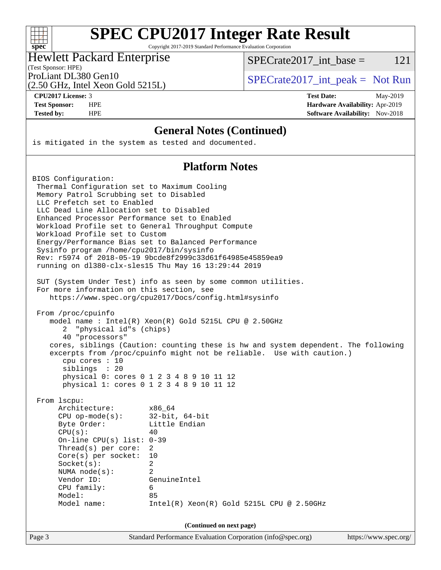| S<br>۱t<br>١<br>U<br>۱. |  |  |  |  |
|-------------------------|--|--|--|--|

Copyright 2017-2019 Standard Performance Evaluation Corporation

#### Hewlett Packard Enterprise

SPECrate2017 int\_base =  $121$ 

#### (Test Sponsor: HPE)

(2.50 GHz, Intel Xeon Gold 5215L)

ProLiant DL380 Gen10  $SPECrate2017$ \_int\_peak = Not Run

**[CPU2017 License:](http://www.spec.org/auto/cpu2017/Docs/result-fields.html#CPU2017License)** 3 **[Test Date:](http://www.spec.org/auto/cpu2017/Docs/result-fields.html#TestDate)** May-2019 **[Test Sponsor:](http://www.spec.org/auto/cpu2017/Docs/result-fields.html#TestSponsor)** HPE **[Hardware Availability:](http://www.spec.org/auto/cpu2017/Docs/result-fields.html#HardwareAvailability)** Apr-2019 **[Tested by:](http://www.spec.org/auto/cpu2017/Docs/result-fields.html#Testedby)** HPE **HPE [Software Availability:](http://www.spec.org/auto/cpu2017/Docs/result-fields.html#SoftwareAvailability)** Nov-2018

#### **[General Notes \(Continued\)](http://www.spec.org/auto/cpu2017/Docs/result-fields.html#GeneralNotes)**

is mitigated in the system as tested and documented.

#### **[Platform Notes](http://www.spec.org/auto/cpu2017/Docs/result-fields.html#PlatformNotes)**

BIOS Configuration: Thermal Configuration set to Maximum Cooling Memory Patrol Scrubbing set to Disabled LLC Prefetch set to Enabled LLC Dead Line Allocation set to Disabled Enhanced Processor Performance set to Enabled Workload Profile set to General Throughput Compute Workload Profile set to Custom Energy/Performance Bias set to Balanced Performance Sysinfo program /home/cpu2017/bin/sysinfo Rev: r5974 of 2018-05-19 9bcde8f2999c33d61f64985e45859ea9 running on dl380-clx-sles15 Thu May 16 13:29:44 2019 SUT (System Under Test) info as seen by some common utilities. For more information on this section, see <https://www.spec.org/cpu2017/Docs/config.html#sysinfo> From /proc/cpuinfo model name : Intel(R) Xeon(R) Gold 5215L CPU @ 2.50GHz 2 "physical id"s (chips) 40 "processors" cores, siblings (Caution: counting these is hw and system dependent. The following excerpts from /proc/cpuinfo might not be reliable. Use with caution.) cpu cores : 10 siblings : 20 physical 0: cores 0 1 2 3 4 8 9 10 11 12 physical 1: cores 0 1 2 3 4 8 9 10 11 12 From lscpu: Architecture: x86\_64 CPU op-mode(s): 32-bit, 64-bit Byte Order: Little Endian  $CPU(s):$  40 On-line CPU(s) list: 0-39 Thread(s) per core: 2 Core(s) per socket: 10 Socket(s): 2 NUMA node(s): 2 Vendor ID: GenuineIntel CPU family: 6 Model: 85 Model name: Intel(R) Xeon(R) Gold 5215L CPU @ 2.50GHz **(Continued on next page)**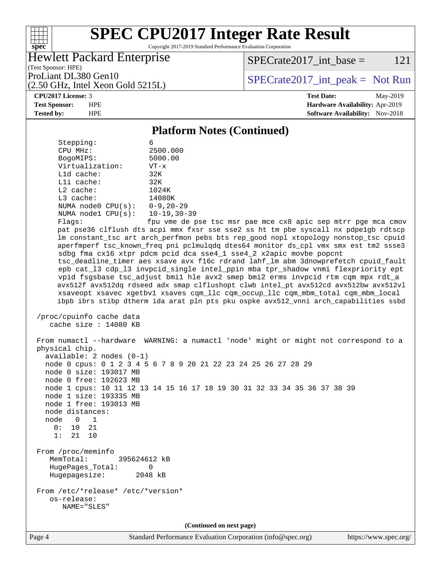

Copyright 2017-2019 Standard Performance Evaluation Corporation

#### Hewlett Packard Enterprise

 $SPECTate2017\_int\_base = 121$ 

(Test Sponsor: HPE) (2.50 GHz, Intel Xeon Gold 5215L)

ProLiant DL380 Gen10  $SPIZ$  [SPECrate2017\\_int\\_peak =](http://www.spec.org/auto/cpu2017/Docs/result-fields.html#SPECrate2017intpeak) Not Run

**[CPU2017 License:](http://www.spec.org/auto/cpu2017/Docs/result-fields.html#CPU2017License)** 3 **[Test Date:](http://www.spec.org/auto/cpu2017/Docs/result-fields.html#TestDate)** May-2019 **[Test Sponsor:](http://www.spec.org/auto/cpu2017/Docs/result-fields.html#TestSponsor)** HPE **[Hardware Availability:](http://www.spec.org/auto/cpu2017/Docs/result-fields.html#HardwareAvailability)** Apr-2019 **[Tested by:](http://www.spec.org/auto/cpu2017/Docs/result-fields.html#Testedby)** HPE **HPE [Software Availability:](http://www.spec.org/auto/cpu2017/Docs/result-fields.html#SoftwareAvailability)** Nov-2018

#### **[Platform Notes \(Continued\)](http://www.spec.org/auto/cpu2017/Docs/result-fields.html#PlatformNotes)**

| Stepping:                                                           | 6                                                                                                                                                                                                                                                                                                                                                                                                                                                                                                                                                                                                                                                                                                                                                                                                                                                                        |  |  |  |  |
|---------------------------------------------------------------------|--------------------------------------------------------------------------------------------------------------------------------------------------------------------------------------------------------------------------------------------------------------------------------------------------------------------------------------------------------------------------------------------------------------------------------------------------------------------------------------------------------------------------------------------------------------------------------------------------------------------------------------------------------------------------------------------------------------------------------------------------------------------------------------------------------------------------------------------------------------------------|--|--|--|--|
| CPU MHz:                                                            | 2500.000                                                                                                                                                                                                                                                                                                                                                                                                                                                                                                                                                                                                                                                                                                                                                                                                                                                                 |  |  |  |  |
| BogoMIPS:<br>Virtualization:                                        | 5000.00                                                                                                                                                                                                                                                                                                                                                                                                                                                                                                                                                                                                                                                                                                                                                                                                                                                                  |  |  |  |  |
| L1d cache:                                                          | $VT - x$<br>32K                                                                                                                                                                                                                                                                                                                                                                                                                                                                                                                                                                                                                                                                                                                                                                                                                                                          |  |  |  |  |
| Lli cache:                                                          | 32K                                                                                                                                                                                                                                                                                                                                                                                                                                                                                                                                                                                                                                                                                                                                                                                                                                                                      |  |  |  |  |
| L2 cache:                                                           | 1024K                                                                                                                                                                                                                                                                                                                                                                                                                                                                                                                                                                                                                                                                                                                                                                                                                                                                    |  |  |  |  |
| L3 cache:                                                           | 14080K                                                                                                                                                                                                                                                                                                                                                                                                                                                                                                                                                                                                                                                                                                                                                                                                                                                                   |  |  |  |  |
| NUMA node0 $CPU(s): 0-9, 20-29$                                     |                                                                                                                                                                                                                                                                                                                                                                                                                                                                                                                                                                                                                                                                                                                                                                                                                                                                          |  |  |  |  |
| NUMA nodel CPU(s): 10-19,30-39                                      |                                                                                                                                                                                                                                                                                                                                                                                                                                                                                                                                                                                                                                                                                                                                                                                                                                                                          |  |  |  |  |
| Flags:                                                              | fpu vme de pse tsc msr pae mce cx8 apic sep mtrr pge mca cmov                                                                                                                                                                                                                                                                                                                                                                                                                                                                                                                                                                                                                                                                                                                                                                                                            |  |  |  |  |
|                                                                     | pat pse36 clflush dts acpi mmx fxsr sse sse2 ss ht tm pbe syscall nx pdpe1gb rdtscp<br>lm constant_tsc art arch_perfmon pebs bts rep_good nopl xtopology nonstop_tsc cpuid<br>aperfmperf tsc_known_freq pni pclmulqdq dtes64 monitor ds_cpl vmx smx est tm2 ssse3<br>sdbg fma cx16 xtpr pdcm pcid dca sse4_1 sse4_2 x2apic movbe popcnt<br>tsc_deadline_timer aes xsave avx f16c rdrand lahf_lm abm 3dnowprefetch cpuid_fault<br>epb cat_13 cdp_13 invpcid_single intel_ppin mba tpr_shadow vnmi flexpriority ept<br>vpid fsgsbase tsc_adjust bmil hle avx2 smep bmi2 erms invpcid rtm cqm mpx rdt_a<br>avx512f avx512dq rdseed adx smap clflushopt clwb intel_pt avx512cd avx512bw avx512vl<br>xsaveopt xsavec xgetbvl xsaves cqm_llc cqm_occup_llc cqm_mbm_total cqm_mbm_local<br>ibpb ibrs stibp dtherm ida arat pln pts pku ospke avx512_vnni arch_capabilities ssbd |  |  |  |  |
| /proc/cpuinfo cache data<br>cache size : 14080 KB                   |                                                                                                                                                                                                                                                                                                                                                                                                                                                                                                                                                                                                                                                                                                                                                                                                                                                                          |  |  |  |  |
| physical chip.<br>$available: 2 nodes (0-1)$                        | From numactl --hardware WARNING: a numactl 'node' might or might not correspond to a                                                                                                                                                                                                                                                                                                                                                                                                                                                                                                                                                                                                                                                                                                                                                                                     |  |  |  |  |
| node 0 size: 193017 MB                                              | node 0 cpus: 0 1 2 3 4 5 6 7 8 9 20 21 22 23 24 25 26 27 28 29                                                                                                                                                                                                                                                                                                                                                                                                                                                                                                                                                                                                                                                                                                                                                                                                           |  |  |  |  |
| node 0 free: 192623 MB                                              |                                                                                                                                                                                                                                                                                                                                                                                                                                                                                                                                                                                                                                                                                                                                                                                                                                                                          |  |  |  |  |
|                                                                     | node 1 cpus: 10 11 12 13 14 15 16 17 18 19 30 31 32 33 34 35 36 37 38 39                                                                                                                                                                                                                                                                                                                                                                                                                                                                                                                                                                                                                                                                                                                                                                                                 |  |  |  |  |
| node 1 size: 193335 MB                                              |                                                                                                                                                                                                                                                                                                                                                                                                                                                                                                                                                                                                                                                                                                                                                                                                                                                                          |  |  |  |  |
| node 1 free: 193013 MB                                              |                                                                                                                                                                                                                                                                                                                                                                                                                                                                                                                                                                                                                                                                                                                                                                                                                                                                          |  |  |  |  |
| node distances:                                                     |                                                                                                                                                                                                                                                                                                                                                                                                                                                                                                                                                                                                                                                                                                                                                                                                                                                                          |  |  |  |  |
| node<br>$\overline{0}$<br>$\overline{1}$                            |                                                                                                                                                                                                                                                                                                                                                                                                                                                                                                                                                                                                                                                                                                                                                                                                                                                                          |  |  |  |  |
| 10 21<br>0:                                                         |                                                                                                                                                                                                                                                                                                                                                                                                                                                                                                                                                                                                                                                                                                                                                                                                                                                                          |  |  |  |  |
| 1:<br>21 10                                                         |                                                                                                                                                                                                                                                                                                                                                                                                                                                                                                                                                                                                                                                                                                                                                                                                                                                                          |  |  |  |  |
| From /proc/meminfo<br>395624612 kB<br>MemTotal:<br>HugePages_Total: | 0                                                                                                                                                                                                                                                                                                                                                                                                                                                                                                                                                                                                                                                                                                                                                                                                                                                                        |  |  |  |  |
| 2048 kB<br>Hugepagesize:                                            |                                                                                                                                                                                                                                                                                                                                                                                                                                                                                                                                                                                                                                                                                                                                                                                                                                                                          |  |  |  |  |
| From /etc/*release* /etc/*version*<br>os-release:<br>NAME="SLES"    |                                                                                                                                                                                                                                                                                                                                                                                                                                                                                                                                                                                                                                                                                                                                                                                                                                                                          |  |  |  |  |
| (Continued on next page)                                            |                                                                                                                                                                                                                                                                                                                                                                                                                                                                                                                                                                                                                                                                                                                                                                                                                                                                          |  |  |  |  |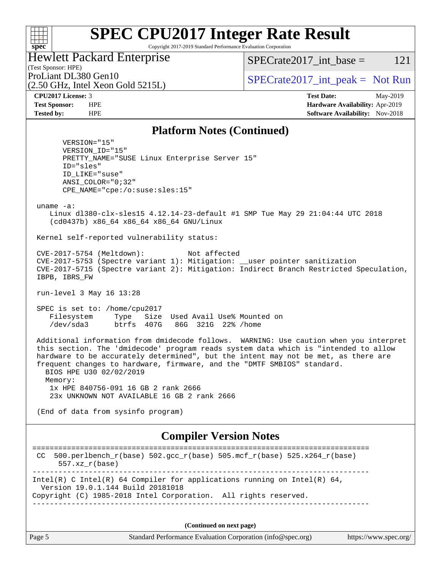### **[SPEC CPU2017 Integer Rate Result](http://www.spec.org/auto/cpu2017/Docs/result-fields.html#SPECCPU2017IntegerRateResult)** Copyright 2017-2019 Standard Performance Evaluation Corporation

Hewlett Packard Enterprise

SPECrate2017 int\_base =  $121$ 

(Test Sponsor: HPE) (2.50 GHz, Intel Xeon Gold 5215L)

ProLiant DL380 Gen10  $SPECrate2017$ \_int\_peak = Not Run

**[spec](http://www.spec.org/)**

 $+\hskip -1.5pt +\hskip -1.5pt +$ 

**[CPU2017 License:](http://www.spec.org/auto/cpu2017/Docs/result-fields.html#CPU2017License)** 3 **[Test Date:](http://www.spec.org/auto/cpu2017/Docs/result-fields.html#TestDate)** May-2019 **[Test Sponsor:](http://www.spec.org/auto/cpu2017/Docs/result-fields.html#TestSponsor)** HPE **[Hardware Availability:](http://www.spec.org/auto/cpu2017/Docs/result-fields.html#HardwareAvailability)** Apr-2019 **[Tested by:](http://www.spec.org/auto/cpu2017/Docs/result-fields.html#Testedby)** HPE **HPE [Software Availability:](http://www.spec.org/auto/cpu2017/Docs/result-fields.html#SoftwareAvailability)** Nov-2018

#### **[Platform Notes \(Continued\)](http://www.spec.org/auto/cpu2017/Docs/result-fields.html#PlatformNotes)**

 VERSION="15" VERSION\_ID="15" PRETTY\_NAME="SUSE Linux Enterprise Server 15" ID="sles" ID\_LIKE="suse" ANSI\_COLOR="0;32" CPE\_NAME="cpe:/o:suse:sles:15" uname -a: Linux dl380-clx-sles15 4.12.14-23-default #1 SMP Tue May 29 21:04:44 UTC 2018 (cd0437b) x86\_64 x86\_64 x86\_64 GNU/Linux Kernel self-reported vulnerability status: CVE-2017-5754 (Meltdown): Not affected CVE-2017-5753 (Spectre variant 1): Mitigation: \_\_user pointer sanitization CVE-2017-5715 (Spectre variant 2): Mitigation: Indirect Branch Restricted Speculation, IBPB, IBRS\_FW run-level 3 May 16 13:28 SPEC is set to: /home/cpu2017 Filesystem Type Size Used Avail Use% Mounted on /dev/sda3 btrfs 407G 86G 321G 22% /home Additional information from dmidecode follows. WARNING: Use caution when you interpret this section. The 'dmidecode' program reads system data which is "intended to allow hardware to be accurately determined", but the intent may not be met, as there are frequent changes to hardware, firmware, and the "DMTF SMBIOS" standard. BIOS HPE U30 02/02/2019 Memory: 1x HPE 840756-091 16 GB 2 rank 2666 23x UNKNOWN NOT AVAILABLE 16 GB 2 rank 2666 (End of data from sysinfo program) **[Compiler Version Notes](http://www.spec.org/auto/cpu2017/Docs/result-fields.html#CompilerVersionNotes)** ============================================================================== CC 500.perlbench  $r(base)$  502.gcc  $r(base)$  505.mcf  $r(base)$  525.x264  $r(base)$  557.xz\_r(base) ------------------------------------------------------------------------------ Intel(R) C Intel(R) 64 Compiler for applications running on Intel(R)  $64$ , Version 19.0.1.144 Build 20181018 Copyright (C) 1985-2018 Intel Corporation. All rights reserved. ------------------------------------------------------------------------------

**(Continued on next page)**

| Page 5 | Standard Performance Evaluation Corporation (info@spec.org) | https://www.spec.org/ |
|--------|-------------------------------------------------------------|-----------------------|
|--------|-------------------------------------------------------------|-----------------------|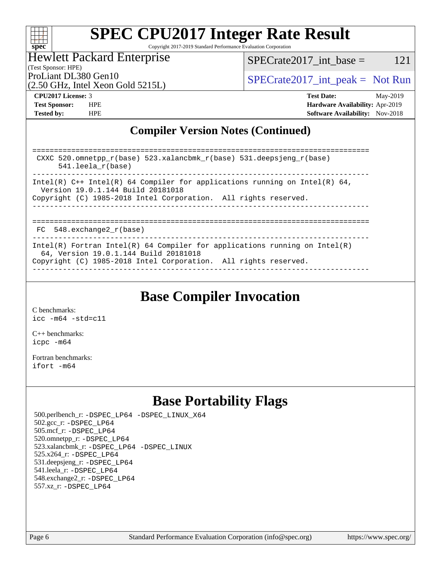

Copyright 2017-2019 Standard Performance Evaluation Corporation

Hewlett Packard Enterprise

 $SPECTate2017\_int\_base = 121$ 

(2.50 GHz, Intel Xeon Gold 5215L)

ProLiant DL380 Gen10  $SPECrate2017$ \_int\_peak = Not Run

(Test Sponsor: HPE)

**[Tested by:](http://www.spec.org/auto/cpu2017/Docs/result-fields.html#Testedby)** HPE **[Software Availability:](http://www.spec.org/auto/cpu2017/Docs/result-fields.html#SoftwareAvailability)** Nov-2018

**[CPU2017 License:](http://www.spec.org/auto/cpu2017/Docs/result-fields.html#CPU2017License)** 3 **[Test Date:](http://www.spec.org/auto/cpu2017/Docs/result-fields.html#TestDate)** May-2019 **[Test Sponsor:](http://www.spec.org/auto/cpu2017/Docs/result-fields.html#TestSponsor)** HPE **[Hardware Availability:](http://www.spec.org/auto/cpu2017/Docs/result-fields.html#HardwareAvailability)** Apr-2019

#### **[Compiler Version Notes \(Continued\)](http://www.spec.org/auto/cpu2017/Docs/result-fields.html#CompilerVersionNotes)**

============================================================================== CXXC 520.omnetpp\_r(base) 523.xalancbmk\_r(base) 531.deepsjeng\_r(base) 541.leela\_r(base) ------------------------------------------------------------------------------ Intel(R)  $C++$  Intel(R) 64 Compiler for applications running on Intel(R) 64, Version 19.0.1.144 Build 20181018 Copyright (C) 1985-2018 Intel Corporation. All rights reserved. ------------------------------------------------------------------------------ ============================================================================== FC 548.exchange2 r(base) ------------------------------------------------------------------------------ Intel(R) Fortran Intel(R) 64 Compiler for applications running on Intel(R) 64, Version 19.0.1.144 Build 20181018 Copyright (C) 1985-2018 Intel Corporation. All rights reserved. ------------------------------------------------------------------------------

## **[Base Compiler Invocation](http://www.spec.org/auto/cpu2017/Docs/result-fields.html#BaseCompilerInvocation)**

[C benchmarks](http://www.spec.org/auto/cpu2017/Docs/result-fields.html#Cbenchmarks): [icc -m64 -std=c11](http://www.spec.org/cpu2017/results/res2019q3/cpu2017-20190624-15561.flags.html#user_CCbase_intel_icc_64bit_c11_33ee0cdaae7deeeab2a9725423ba97205ce30f63b9926c2519791662299b76a0318f32ddfffdc46587804de3178b4f9328c46fa7c2b0cd779d7a61945c91cd35)

[C++ benchmarks:](http://www.spec.org/auto/cpu2017/Docs/result-fields.html#CXXbenchmarks) [icpc -m64](http://www.spec.org/cpu2017/results/res2019q3/cpu2017-20190624-15561.flags.html#user_CXXbase_intel_icpc_64bit_4ecb2543ae3f1412ef961e0650ca070fec7b7afdcd6ed48761b84423119d1bf6bdf5cad15b44d48e7256388bc77273b966e5eb805aefd121eb22e9299b2ec9d9)

[Fortran benchmarks](http://www.spec.org/auto/cpu2017/Docs/result-fields.html#Fortranbenchmarks): [ifort -m64](http://www.spec.org/cpu2017/results/res2019q3/cpu2017-20190624-15561.flags.html#user_FCbase_intel_ifort_64bit_24f2bb282fbaeffd6157abe4f878425411749daecae9a33200eee2bee2fe76f3b89351d69a8130dd5949958ce389cf37ff59a95e7a40d588e8d3a57e0c3fd751)

## **[Base Portability Flags](http://www.spec.org/auto/cpu2017/Docs/result-fields.html#BasePortabilityFlags)**

 500.perlbench\_r: [-DSPEC\\_LP64](http://www.spec.org/cpu2017/results/res2019q3/cpu2017-20190624-15561.flags.html#b500.perlbench_r_basePORTABILITY_DSPEC_LP64) [-DSPEC\\_LINUX\\_X64](http://www.spec.org/cpu2017/results/res2019q3/cpu2017-20190624-15561.flags.html#b500.perlbench_r_baseCPORTABILITY_DSPEC_LINUX_X64) 502.gcc\_r: [-DSPEC\\_LP64](http://www.spec.org/cpu2017/results/res2019q3/cpu2017-20190624-15561.flags.html#suite_basePORTABILITY502_gcc_r_DSPEC_LP64) 505.mcf\_r: [-DSPEC\\_LP64](http://www.spec.org/cpu2017/results/res2019q3/cpu2017-20190624-15561.flags.html#suite_basePORTABILITY505_mcf_r_DSPEC_LP64) 520.omnetpp\_r: [-DSPEC\\_LP64](http://www.spec.org/cpu2017/results/res2019q3/cpu2017-20190624-15561.flags.html#suite_basePORTABILITY520_omnetpp_r_DSPEC_LP64) 523.xalancbmk\_r: [-DSPEC\\_LP64](http://www.spec.org/cpu2017/results/res2019q3/cpu2017-20190624-15561.flags.html#suite_basePORTABILITY523_xalancbmk_r_DSPEC_LP64) [-DSPEC\\_LINUX](http://www.spec.org/cpu2017/results/res2019q3/cpu2017-20190624-15561.flags.html#b523.xalancbmk_r_baseCXXPORTABILITY_DSPEC_LINUX) 525.x264\_r: [-DSPEC\\_LP64](http://www.spec.org/cpu2017/results/res2019q3/cpu2017-20190624-15561.flags.html#suite_basePORTABILITY525_x264_r_DSPEC_LP64) 531.deepsjeng\_r: [-DSPEC\\_LP64](http://www.spec.org/cpu2017/results/res2019q3/cpu2017-20190624-15561.flags.html#suite_basePORTABILITY531_deepsjeng_r_DSPEC_LP64) 541.leela\_r: [-DSPEC\\_LP64](http://www.spec.org/cpu2017/results/res2019q3/cpu2017-20190624-15561.flags.html#suite_basePORTABILITY541_leela_r_DSPEC_LP64) 548.exchange2\_r: [-DSPEC\\_LP64](http://www.spec.org/cpu2017/results/res2019q3/cpu2017-20190624-15561.flags.html#suite_basePORTABILITY548_exchange2_r_DSPEC_LP64) 557.xz\_r: [-DSPEC\\_LP64](http://www.spec.org/cpu2017/results/res2019q3/cpu2017-20190624-15561.flags.html#suite_basePORTABILITY557_xz_r_DSPEC_LP64)